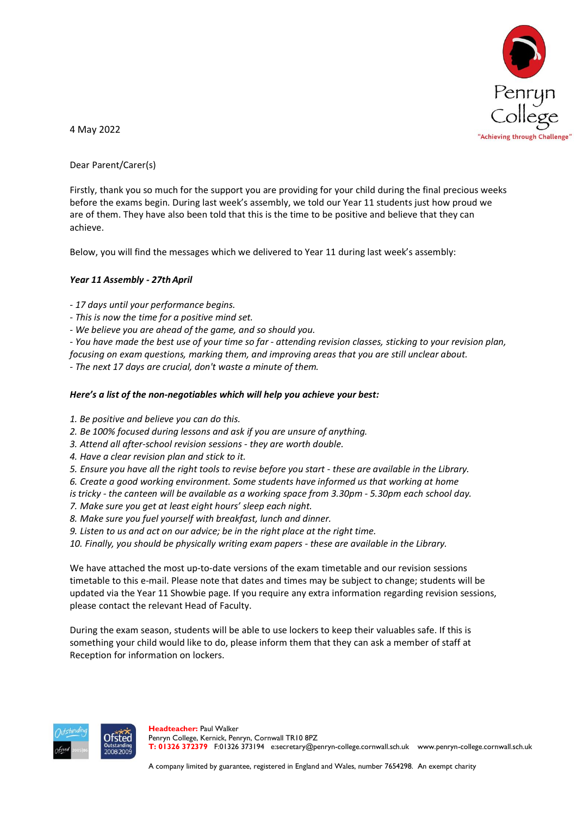

4 May 2022

Dear Parent/Carer(s)

Firstly, thank you so much for the support you are providing for your child during the final precious weeks before the exams begin. During last week's assembly, we told our Year 11 students just how proud we are of them. They have also been told that this is the time to be positive and believe that they can achieve.

Below, you will find the messages which we delivered to Year 11 during last week's assembly:

## *Year 11 Assembly - 27thApril*

*- 17 days until your performance begins.*

- *- This is now the time for a positive mind set.*
- *- We believe you are ahead of the game, and so should you.*

- You have made the best use of your time so far - attending revision classes, sticking to your revision plan, *focusing on exam questions, marking them, and improving areas that you are still unclear about.*

*- The next 17 days are crucial, don't waste a minute of them.*

## *Here's a list of the non-negotiables which will help you achieve your best:*

- *1. Be positive and believe you can do this.*
- *2. Be 100% focused during lessons and ask if you are unsure of anything.*
- *3. Attend all after-school revision sessions - they are worth double.*
- *4. Have a clear revision plan and stick to it.*
- 5. Ensure you have all the right tools to revise before you start these are available in the Library.
- *6. Create a good working environment. Some students have informed us that working at home*
- is tricky the canteen will be available as a working space from 3.30pm 5.30pm each school day.
- *7. Make sure you get at least eight hours' sleep each night.*
- *8. Make sure you fuel yourself with breakfast, lunch and dinner.*
- *9. Listen to us and act on our advice; be in the right place at the right time.*

*10. Finally, you should be physically writing exam papers - these are available in the Library.*

We have attached the most up-to-date versions of the exam timetable and our revision sessions timetable to this e-mail. Please note that dates and times may be subject to change; students will be updated via the Year 11 Showbie page. If you require any extra information regarding revision sessions, please contact the relevant Head of Faculty.

During the exam season, students will be able to use lockers to keep their valuables safe. If this is something your child would like to do, please inform them that they can ask a member of staff at Reception for information on lockers.